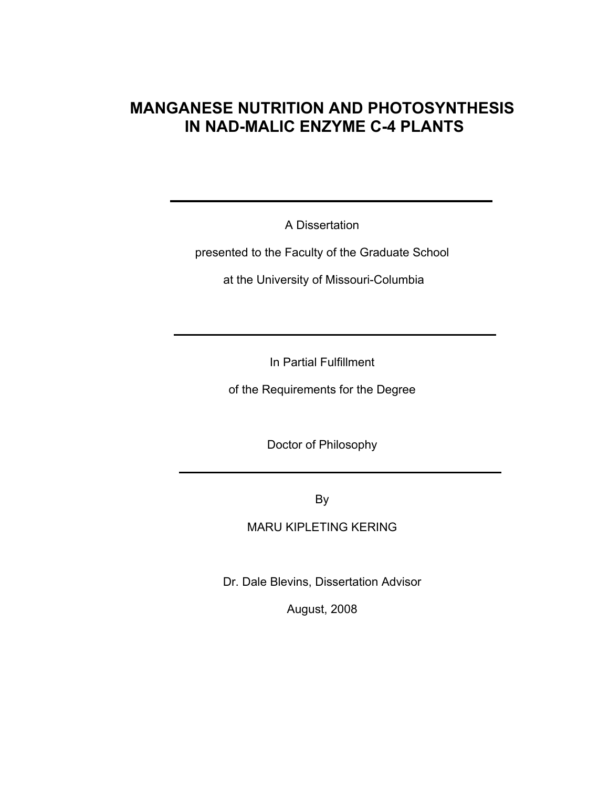## **MANGANESE NUTRITION AND PHOTOSYNTHESIS IN NAD-MALIC ENZYME C-4 PLANTS**

A Dissertation

presented to the Faculty of the Graduate School

at the University of Missouri-Columbia

In Partial Fulfillment

of the Requirements for the Degree

Doctor of Philosophy

By

MARU KIPLETING KERING

Dr. Dale Blevins, Dissertation Advisor

August, 2008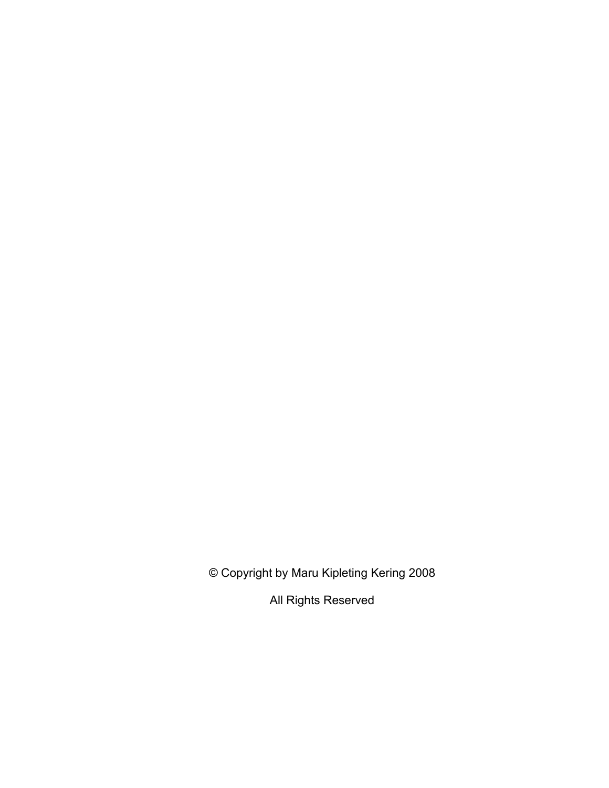© Copyright by Maru Kipleting Kering 2008

All Rights Reserved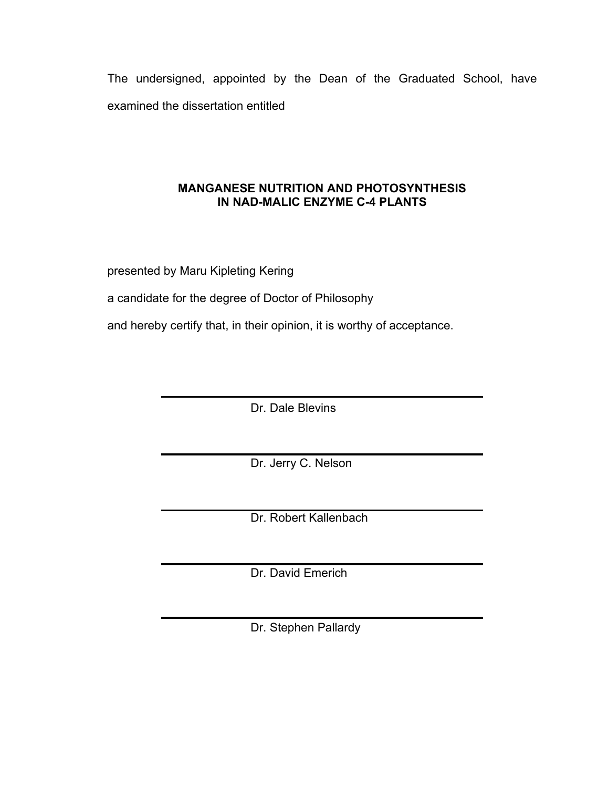The undersigned, appointed by the Dean of the Graduated School, have examined the dissertation entitled

## **MANGANESE NUTRITION AND PHOTOSYNTHESIS IN NAD-MALIC ENZYME C-4 PLANTS**

presented by Maru Kipleting Kering

a candidate for the degree of Doctor of Philosophy

and hereby certify that, in their opinion, it is worthy of acceptance.

Dr. Dale Blevins

Dr. Jerry C. Nelson

Dr. Robert Kallenbach

Dr. David Emerich

Dr. Stephen Pallardy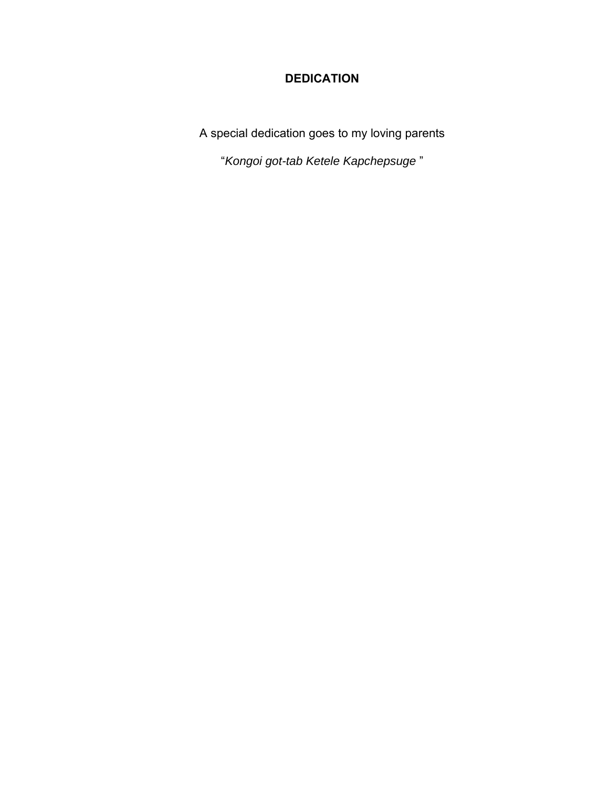## **DEDICATION**

A special dedication goes to my loving parents

"*Kongoi got-tab Ketele Kapchepsuge* "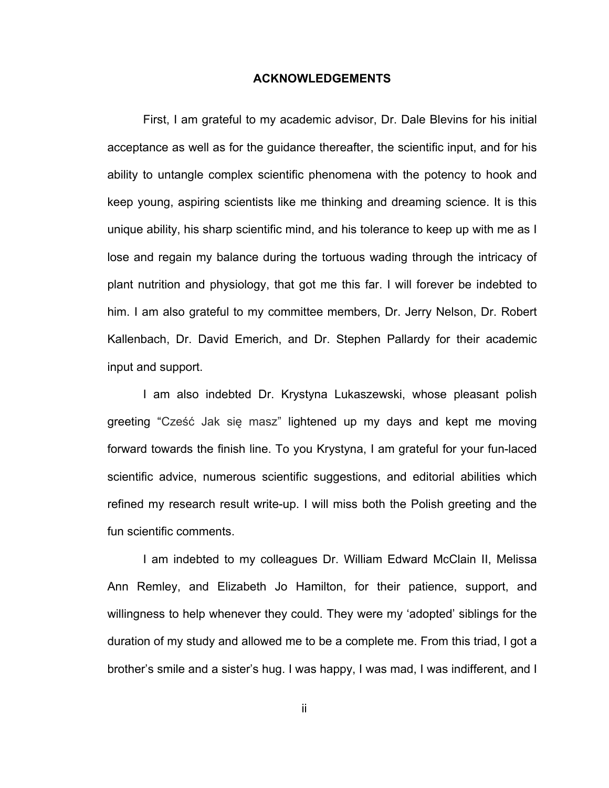## **ACKNOWLEDGEMENTS**

First, I am grateful to my academic advisor, Dr. Dale Blevins for his initial acceptance as well as for the guidance thereafter, the scientific input, and for his ability to untangle complex scientific phenomena with the potency to hook and keep young, aspiring scientists like me thinking and dreaming science. It is this unique ability, his sharp scientific mind, and his tolerance to keep up with me as I lose and regain my balance during the tortuous wading through the intricacy of plant nutrition and physiology, that got me this far. I will forever be indebted to him. I am also grateful to my committee members, Dr. Jerry Nelson, Dr. Robert Kallenbach, Dr. David Emerich, and Dr. Stephen Pallardy for their academic input and support.

I am also indebted Dr. Krystyna Lukaszewski, whose pleasant polish greeting "Cześć Jak się masz" lightened up my days and kept me moving forward towards the finish line. To you Krystyna, I am grateful for your fun-laced scientific advice, numerous scientific suggestions, and editorial abilities which refined my research result write-up. I will miss both the Polish greeting and the fun scientific comments.

I am indebted to my colleagues Dr. William Edward McClain II, Melissa Ann Remley, and Elizabeth Jo Hamilton, for their patience, support, and willingness to help whenever they could. They were my 'adopted' siblings for the duration of my study and allowed me to be a complete me. From this triad, I got a brother's smile and a sister's hug. I was happy, I was mad, I was indifferent, and I

ii